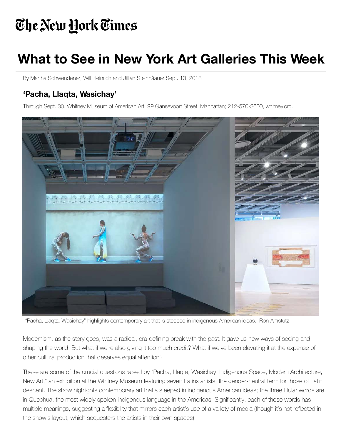## The New York Times

## **What to See in New York Art Galleries This Week**

By Martha Schwendener, Will Heinrich and Jillian Steinhåauer Sept. 13, 2018

## **'Pacha, Llaqta, Wasichay'**

Through Sept. 30. Whitney Museum of American Art, 99 Gansevoort Street, Manhattan; 212-570-3600, whitney.org.



"Pacha, Llaqta, Wasichay" highlights contemporary art that is steeped in indigenous American ideas. Ron Amstutz

Modernism, as the story goes, was a radical, era-defining break with the past. It gave us new ways of seeing and shaping the world. But what if we're also giving it too much credit? What if we've been elevating it at the expense of other cultural production that deserves equal attention?

These are some of the crucial questions raised by "Pacha, Llaqta, Wasichay: Indigenous Space, Modern Architecture, New Art," an exhibition at the Whitney Museum featuring seven Latinx artists, the gender-neutral term for those of Latin [descent. The show highlights contemporary art that's steeped in indigenous American ideas; the three titular w](https://www.nytimes.com/2016/02/05/arts/design/peter-fischli-and-david-weiss-playfully-poke-high-culture-pieties.html)ords are in Quechua, the most widely spoken indigenous language in the Americas. Significantly, each of those words has multiple meanings, suggesting a flexibility that mirrors each artist's use of a variety of media (though it's not reflected in the show's layout, which sequesters the artists in their own spaces).